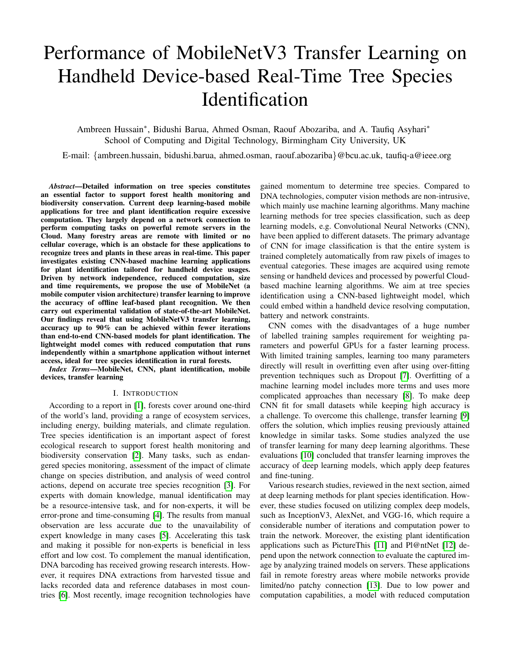# Performance of MobileNetV3 Transfer Learning on Handheld Device-based Real-Time Tree Species **Identification**

Ambreen Hussain<sup>∗</sup> , Bidushi Barua, Ahmed Osman, Raouf Abozariba, and A. Taufiq Asyhari<sup>∗</sup> School of Computing and Digital Technology, Birmingham City University, UK

E-mail: {ambreen.hussain, bidushi.barua, ahmed.osman, raouf.abozariba}@bcu.ac.uk, taufiq-a@ieee.org

*Abstract*—Detailed information on tree species constitutes an essential factor to support forest health monitoring and biodiversity conservation. Current deep learning-based mobile applications for tree and plant identification require excessive computation. They largely depend on a network connection to perform computing tasks on powerful remote servers in the Cloud. Many forestry areas are remote with limited or no cellular coverage, which is an obstacle for these applications to recognize trees and plants in these areas in real-time. This paper investigates existing CNN-based machine learning applications for plant identification tailored for handheld device usages. Driven by network independence, reduced computation, size and time requirements, we propose the use of MobileNet (a mobile computer vision architecture) transfer learning to improve the accuracy of offline leaf-based plant recognition. We then carry out experimental validation of state-of-the-art MobileNet. Our findings reveal that using MobileNetV3 transfer learning, accuracy up to 90% can be achieved within fewer iterations than end-to-end CNN-based models for plant identification. The lightweight model comes with reduced computation that runs independently within a smartphone application without internet access, ideal for tree species identification in rural forests.

*Index Terms*—MobileNet, CNN, plant identification, mobile devices, transfer learning

## I. INTRODUCTION

According to a report in [\[1\]](#page-4-0), forests cover around one-third of the world's land, providing a range of ecosystem services, including energy, building materials, and climate regulation. Tree species identification is an important aspect of forest ecological research to support forest health monitoring and biodiversity conservation [\[2\]](#page-4-1). Many tasks, such as endangered species monitoring, assessment of the impact of climate change on species distribution, and analysis of weed control actions, depend on accurate tree species recognition [\[3\]](#page-4-2). For experts with domain knowledge, manual identification may be a resource-intensive task, and for non-experts, it will be error-prone and time-consuming [\[4\]](#page-4-3). The results from manual observation are less accurate due to the unavailability of expert knowledge in many cases [\[5\]](#page-4-4). Accelerating this task and making it possible for non-experts is beneficial in less effort and low cost. To complement the manual identification, DNA barcoding has received growing research interests. However, it requires DNA extractions from harvested tissue and lacks recorded data and reference databases in most countries [\[6\]](#page-4-5). Most recently, image recognition technologies have

gained momentum to determine tree species. Compared to DNA technologies, computer vision methods are non-intrusive, which mainly use machine learning algorithms. Many machine learning methods for tree species classification, such as deep learning models, e.g. Convolutional Neural Networks (CNN), have been applied to different datasets. The primary advantage of CNN for image classification is that the entire system is trained completely automatically from raw pixels of images to eventual categories. These images are acquired using remote sensing or handheld devices and processed by powerful Cloudbased machine learning algorithms. We aim at tree species identification using a CNN-based lightweight model, which could embed within a handheld device resolving computation, battery and network constraints.

CNN comes with the disadvantages of a huge number of labelled training samples requirement for weighting parameters and powerful GPUs for a faster learning process. With limited training samples, learning too many parameters directly will result in overfitting even after using over-fitting prevention techniques such as Dropout [\[7\]](#page-5-0). Overfitting of a machine learning model includes more terms and uses more complicated approaches than necessary [\[8\]](#page-5-1). To make deep CNN fit for small datasets while keeping high accuracy is a challenge. To overcome this challenge, transfer learning [\[9\]](#page-5-2) offers the solution, which implies reusing previously attained knowledge in similar tasks. Some studies analyzed the use of transfer learning for many deep learning algorithms. These evaluations [\[10\]](#page-5-3) concluded that transfer learning improves the accuracy of deep learning models, which apply deep features and fine-tuning.

Various research studies, reviewed in the next section, aimed at deep learning methods for plant species identification. However, these studies focused on utilizing complex deep models, such as InceptionV3, AlexNet, and VGG-16, which require a considerable number of iterations and computation power to train the network. Moreover, the existing plant identification applications such as PictureThis [\[11\]](#page-5-4) and Pl@ntNet [\[12\]](#page-5-5) depend upon the network connection to evaluate the captured image by analyzing trained models on servers. These applications fail in remote forestry areas where mobile networks provide limited/no patchy connection [\[13\]](#page-5-6). Due to low power and computation capabilities, a model with reduced computation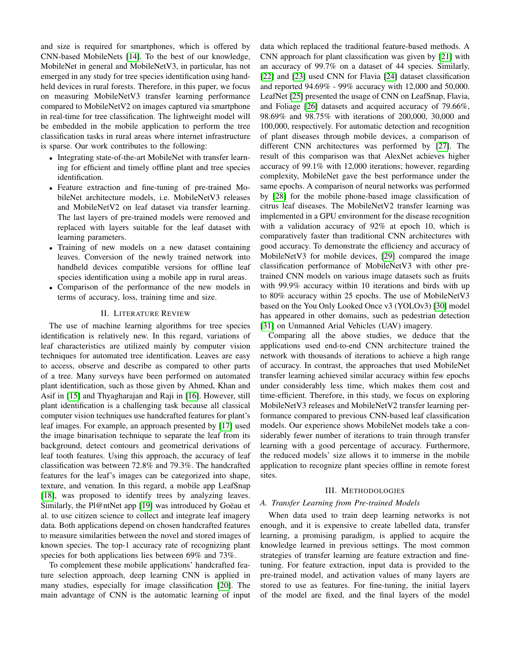and size is required for smartphones, which is offered by CNN-based MobileNets [\[14\]](#page-5-7). To the best of our knowledge, MobileNet in general and MobileNetV3, in particular, has not emerged in any study for tree species identification using handheld devices in rural forests. Therefore, in this paper, we focus on measuring MobileNetV3 transfer learning performance compared to MobileNetV2 on images captured via smartphone in real-time for tree classification. The lightweight model will be embedded in the mobile application to perform the tree classification tasks in rural areas where internet infrastructure is sparse. Our work contributes to the following:

- Integrating state-of-the-art MobileNet with transfer learning for efficient and timely offline plant and tree species identification.
- Feature extraction and fine-tuning of pre-trained MobileNet architecture models, i.e. MobileNetV3 releases and MobileNetV2 on leaf dataset via transfer learning. The last layers of pre-trained models were removed and replaced with layers suitable for the leaf dataset with learning parameters.
- Training of new models on a new dataset containing leaves. Conversion of the newly trained network into handheld devices compatible versions for offline leaf species identification using a mobile app in rural areas.
- Comparison of the performance of the new models in terms of accuracy, loss, training time and size.

## II. LITERATURE REVIEW

The use of machine learning algorithms for tree species identification is relatively new. In this regard, variations of leaf characteristics are utilized mainly by computer vision techniques for automated tree identification. Leaves are easy to access, observe and describe as compared to other parts of a tree. Many surveys have been performed on automated plant identification, such as those given by Ahmed, Khan and Asif in [\[15\]](#page-5-8) and Thyagharajan and Raji in [\[16\]](#page-5-9). However, still plant identification is a challenging task because all classical computer vision techniques use handcrafted features for plant's leaf images. For example, an approach presented by [\[17\]](#page-5-10) used the image binarisation technique to separate the leaf from its background, detect contours and geometrical derivations of leaf tooth features. Using this approach, the accuracy of leaf classification was between 72.8% and 79.3%. The handcrafted features for the leaf's images can be categorized into shape, texture, and venation. In this regard, a mobile app LeafSnap [\[18\]](#page-5-11), was proposed to identify trees by analyzing leaves. Similarly, the Pl@ntNet app [\[19\]](#page-5-12) was introduced by Goëau et al. to use citizen science to collect and integrate leaf imagery data. Both applications depend on chosen handcrafted features to measure similarities between the novel and stored images of known species. The top-1 accuracy rate of recognizing plant species for both applications lies between 69% and 73%.

To complement these mobile applications' handcrafted feature selection approach, deep learning CNN is applied in many studies, especially for image classification [\[20\]](#page-5-13). The main advantage of CNN is the automatic learning of input data which replaced the traditional feature-based methods. A CNN approach for plant classification was given by [\[21\]](#page-5-14) with an accuracy of 99.7% on a dataset of 44 species. Similarly, [\[22\]](#page-5-15) and [\[23\]](#page-5-16) used CNN for Flavia [\[24\]](#page-5-17) dataset classification and reported 94.69% - 99% accuracy with 12,000 and 50,000. LeafNet [\[25\]](#page-5-18) presented the usage of CNN on LeafSnap, Flavia, and Foliage [\[26\]](#page-5-19) datasets and acquired accuracy of 79.66%, 98.69% and 98.75% with iterations of 200,000, 30,000 and 100,000, respectively. For automatic detection and recognition of plant diseases through mobile devices, a comparison of different CNN architectures was performed by [\[27\]](#page-5-20). The result of this comparison was that AlexNet achieves higher accuracy of 99.1% with 12,000 iterations; however, regarding complexity, MobileNet gave the best performance under the same epochs. A comparison of neural networks was performed by [\[28\]](#page-5-21) for the mobile phone-based image classification of citrus leaf diseases. The MobileNetV2 transfer learning was implemented in a GPU environment for the disease recognition with a validation accuracy of 92% at epoch 10, which is comparatively faster than traditional CNN architectures with good accuracy. To demonstrate the efficiency and accuracy of MobileNetV3 for mobile devices, [\[29\]](#page-5-22) compared the image classification performance of MobileNetV3 with other pretrained CNN models on various image datasets such as fruits with 99.9% accuracy within 10 iterations and birds with up to 80% accuracy within 25 epochs. The use of MobileNetV3 based on the You Only Looked Once v3 (YOLOv3) [\[30\]](#page-5-23) model has appeared in other domains, such as pedestrian detection [\[31\]](#page-5-24) on Unmanned Arial Vehicles (UAV) imagery.

Comparing all the above studies, we deduce that the applications used end-to-end CNN architecture trained the network with thousands of iterations to achieve a high range of accuracy. In contrast, the approaches that used MobileNet transfer learning achieved similar accuracy within few epochs under considerably less time, which makes them cost and time-efficient. Therefore, in this study, we focus on exploring MobileNetV3 releases and MobileNetV2 transfer learning performance compared to previous CNN-based leaf classification models. Our experience shows MobileNet models take a considerably fewer number of iterations to train through transfer learning with a good percentage of accuracy. Furthermore, the reduced models' size allows it to immerse in the mobile application to recognize plant species offline in remote forest sites.

### III. METHODOLOGIES

#### *A. Transfer Learning from Pre-trained Models*

When data used to train deep learning networks is not enough, and it is expensive to create labelled data, transfer learning, a promising paradigm, is applied to acquire the knowledge learned in previous settings. The most common strategies of transfer learning are feature extraction and finetuning. For feature extraction, input data is provided to the pre-trained model, and activation values of many layers are stored to use as features. For fine-tuning, the initial layers of the model are fixed, and the final layers of the model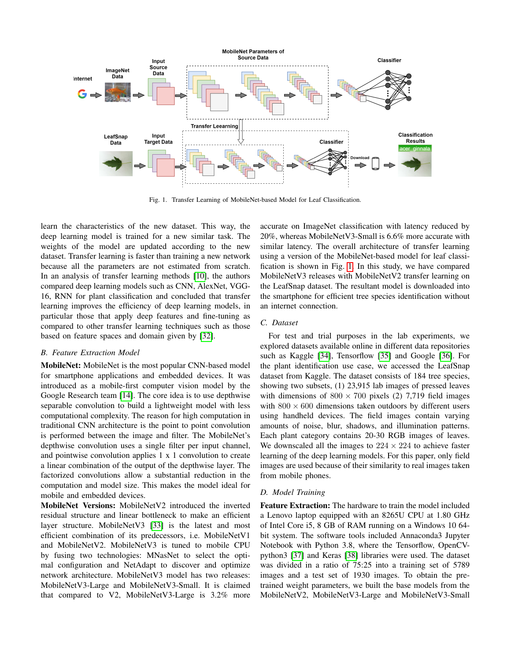

<span id="page-2-0"></span>Fig. 1. Transfer Learning of MobileNet-based Model for Leaf Classification.

learn the characteristics of the new dataset. This way, the deep learning model is trained for a new similar task. The weights of the model are updated according to the new dataset. Transfer learning is faster than training a new network because all the parameters are not estimated from scratch. In an analysis of transfer learning methods [\[10\]](#page-5-3), the authors compared deep learning models such as CNN, AlexNet, VGG-16, RNN for plant classification and concluded that transfer learning improves the efficiency of deep learning models, in particular those that apply deep features and fine-tuning as compared to other transfer learning techniques such as those based on feature spaces and domain given by [\[32\]](#page-5-25).

## *B. Feature Extraction Model*

MobileNet: MobileNet is the most popular CNN-based model for smartphone applications and embedded devices. It was introduced as a mobile-first computer vision model by the Google Research team [\[14\]](#page-5-7). The core idea is to use depthwise separable convolution to build a lightweight model with less computational complexity. The reason for high computation in traditional CNN architecture is the point to point convolution is performed between the image and filter. The MobileNet's depthwise convolution uses a single filter per input channel, and pointwise convolution applies 1 x 1 convolution to create a linear combination of the output of the depthwise layer. The factorized convolutions allow a substantial reduction in the computation and model size. This makes the model ideal for mobile and embedded devices.

MobileNet Versions: MobileNetV2 introduced the inverted residual structure and linear bottleneck to make an efficient layer structure. MobileNetV3 [\[33\]](#page-5-26) is the latest and most efficient combination of its predecessors, i.e. MobileNetV1 and MobileNetV2. MobileNetV3 is tuned to mobile CPU by fusing two technologies: MNasNet to select the optimal configuration and NetAdapt to discover and optimize network architecture. MobileNetV3 model has two releases: MobileNetV3-Large and MobileNetV3-Small. It is claimed that compared to V2, MobileNetV3-Large is 3.2% more accurate on ImageNet classification with latency reduced by 20%, whereas MobileNetV3-Small is 6.6% more accurate with similar latency. The overall architecture of transfer learning using a version of the MobileNet-based model for leaf classification is shown in Fig. [1.](#page-2-0) In this study, we have compared MobileNetV3 releases with MobileNetV2 transfer learning on the LeafSnap dataset. The resultant model is downloaded into the smartphone for efficient tree species identification without an internet connection.

# *C. Dataset*

For test and trial purposes in the lab experiments, we explored datasets available online in different data repositories such as Kaggle [\[34\]](#page-5-27), Tensorflow [\[35\]](#page-5-28) and Google [\[36\]](#page-5-29). For the plant identification use case, we accessed the LeafSnap dataset from Kaggle. The dataset consists of 184 tree species, showing two subsets, (1) 23,915 lab images of pressed leaves with dimensions of  $800 \times 700$  pixels (2) 7,719 field images with  $800 \times 600$  dimensions taken outdoors by different users using handheld devices. The field images contain varying amounts of noise, blur, shadows, and illumination patterns. Each plant category contains 20-30 RGB images of leaves. We downscaled all the images to  $224 \times 224$  to achieve faster learning of the deep learning models. For this paper, only field images are used because of their similarity to real images taken from mobile phones.

#### *D. Model Training*

Feature Extraction: The hardware to train the model included a Lenovo laptop equipped with an 8265U CPU at 1.80 GHz of Intel Core i5, 8 GB of RAM running on a Windows 10 64 bit system. The software tools included Annaconda3 Jupyter Notebook with Python 3.8, where the Tensorflow, OpenCVpython3 [\[37\]](#page-5-30) and Keras [\[38\]](#page-5-31) libraries were used. The dataset was divided in a ratio of 75:25 into a training set of 5789 images and a test set of 1930 images. To obtain the pretrained weight parameters, we built the base models from the MobileNetV2, MobileNetV3-Large and MobileNetV3-Small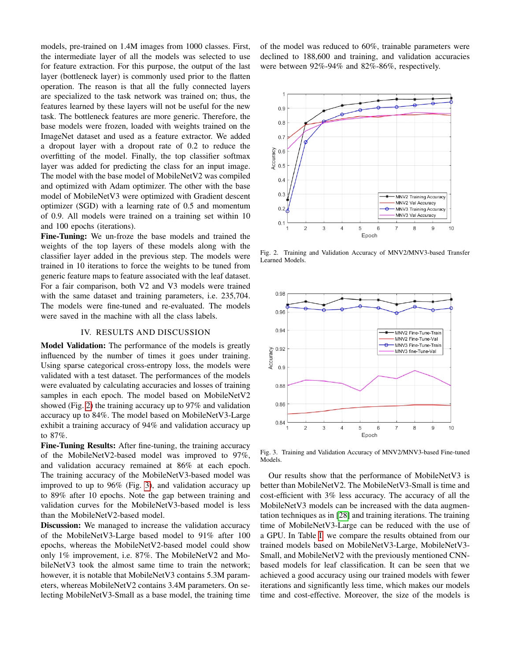models, pre-trained on 1.4M images from 1000 classes. First, the intermediate layer of all the models was selected to use for feature extraction. For this purpose, the output of the last layer (bottleneck layer) is commonly used prior to the flatten operation. The reason is that all the fully connected layers are specialized to the task network was trained on; thus, the features learned by these layers will not be useful for the new task. The bottleneck features are more generic. Therefore, the base models were frozen, loaded with weights trained on the ImageNet dataset and used as a feature extractor. We added a dropout layer with a dropout rate of 0.2 to reduce the overfitting of the model. Finally, the top classifier softmax layer was added for predicting the class for an input image. The model with the base model of MobileNetV2 was compiled and optimized with Adam optimizer. The other with the base model of MobileNetV3 were optimized with Gradient descent optimizer (SGD) with a learning rate of 0.5 and momentum of 0.9. All models were trained on a training set within 10 and 100 epochs (iterations).

Fine-Tuning: We un-froze the base models and trained the weights of the top layers of these models along with the classifier layer added in the previous step. The models were trained in 10 iterations to force the weights to be tuned from generic feature maps to feature associated with the leaf dataset. For a fair comparison, both V2 and V3 models were trained with the same dataset and training parameters, i.e. 235,704. The models were fine-tuned and re-evaluated. The models were saved in the machine with all the class labels.

## IV. RESULTS AND DISCUSSION

Model Validation: The performance of the models is greatly influenced by the number of times it goes under training. Using sparse categorical cross-entropy loss, the models were validated with a test dataset. The performances of the models were evaluated by calculating accuracies and losses of training samples in each epoch. The model based on MobileNetV2 showed (Fig. [2\)](#page-3-0) the training accuracy up to 97% and validation accuracy up to 84%. The model based on MobileNetV3-Large exhibit a training accuracy of 94% and validation accuracy up to 87%.

Fine-Tuning Results: After fine-tuning, the training accuracy of the MobileNetV2-based model was improved to 97%, and validation accuracy remained at 86% at each epoch. The training accuracy of the MobileNetV3-based model was improved to up to 96% (Fig. [3\)](#page-3-1), and validation accuracy up to 89% after 10 epochs. Note the gap between training and validation curves for the MobileNetV3-based model is less than the MobileNetV2-based model.

**Discussion:** We managed to increase the validation accuracy of the MobileNetV3-Large based model to 91% after 100 epochs, whereas the MobileNetV2-based model could show only 1% improvement, i.e. 87%. The MobileNetV2 and MobileNetV3 took the almost same time to train the network; however, it is notable that MobileNetV3 contains 5.3M parameters, whereas MobileNetV2 contains 3.4M parameters. On selecting MobileNetV3-Small as a base model, the training time of the model was reduced to 60%, trainable parameters were declined to 188,600 and training, and validation accuracies were between 92%-94% and 82%-86%, respectively.



<span id="page-3-0"></span>Fig. 2. Training and Validation Accuracy of MNV2/MNV3-based Transfer Learned Models.



<span id="page-3-1"></span>Fig. 3. Training and Validation Accuracy of MNV2/MNV3-based Fine-tuned Models.

Our results show that the performance of MobileNetV3 is better than MobileNetV2. The MobileNetV3-Small is time and cost-efficient with 3% less accuracy. The accuracy of all the MobileNetV3 models can be increased with the data augmentation techniques as in [\[28\]](#page-5-21) and training iterations. The training time of MobileNetV3-Large can be reduced with the use of a GPU. In Table [I,](#page-4-6) we compare the results obtained from our trained models based on MobileNetV3-Large, MobileNetV3- Small, and MobileNetV2 with the previously mentioned CNNbased models for leaf classification. It can be seen that we achieved a good accuracy using our trained models with fewer iterations and significantly less time, which makes our models time and cost-effective. Moreover, the size of the models is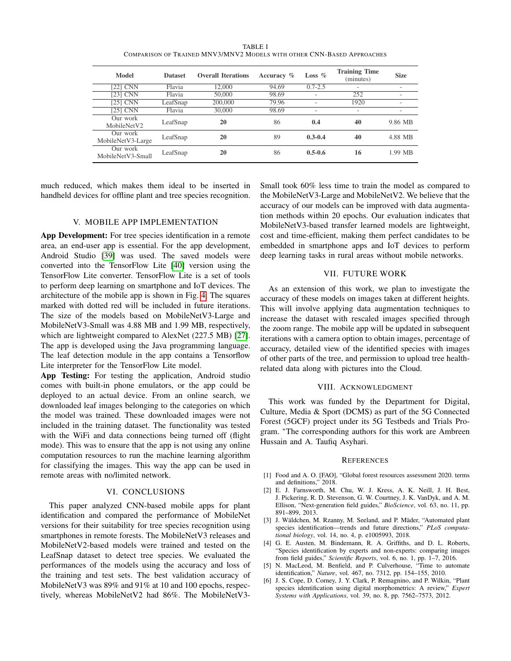| TABLE I                                                                |  |  |  |  |  |  |  |
|------------------------------------------------------------------------|--|--|--|--|--|--|--|
| COMPARISON OF TRAINED MNV3/MNV2 MODELS WITH OTHER CNN-BASED APPROACHES |  |  |  |  |  |  |  |

<span id="page-4-6"></span>

| Model                         | <b>Dataset</b> | <b>Overall Iterations</b> | Accuracy % | Loss $%$    | <b>Training Time</b><br>(minutes) | <b>Size</b> |
|-------------------------------|----------------|---------------------------|------------|-------------|-----------------------------------|-------------|
| [22] CNN                      | Flavia         | 12,000                    | 94.69      | $0.7 - 2.5$ | ۰                                 | ۰           |
| [23] CNN                      | Flavia         | 50,000                    | 98.69      | ۰           | 252                               | ۰           |
| [25] CNN                      | LeafSnap       | 200,000                   | 79.96      | ۰           | 1920                              | ۰           |
| [25] CNN                      | Flavia         | 30,000                    | 98.69      | ۰           | ۰                                 |             |
| Our work<br>MobileNetV2       | LeafSnap       | 20                        | 86         | 0.4         | 40                                | 9.86 MB     |
| Our work<br>MobileNetV3-Large | LeafSnap       | 20                        | 89         | $0.3 - 0.4$ | 40                                | 4.88 MB     |
| Our work<br>MobileNetV3-Small | LeafSnap       | 20                        | 86         | $0.5 - 0.6$ | 16                                | 1.99 MB     |

much reduced, which makes them ideal to be inserted in handheld devices for offline plant and tree species recognition.

## V. MOBILE APP IMPLEMENTATION

App Development: For tree species identification in a remote area, an end-user app is essential. For the app development, Android Studio [\[39\]](#page-5-32) was used. The saved models were converted into the TensorFlow Lite [\[40\]](#page-5-33) version using the TensorFlow Lite converter. TensorFlow Lite is a set of tools to perform deep learning on smartphone and IoT devices. The architecture of the mobile app is shown in Fig. [4.](#page-5-34) The squares marked with dotted red will be included in future iterations. The size of the models based on MobileNetV3-Large and MobileNetV3-Small was 4.88 MB and 1.99 MB, respectively, which are lightweight compared to AlexNet (227.5 MB) [\[27\]](#page-5-20). The app is developed using the Java programming language. The leaf detection module in the app contains a Tensorflow Lite interpreter for the TensorFlow Lite model.

App Testing: For testing the application, Android studio comes with built-in phone emulators, or the app could be deployed to an actual device. From an online search, we downloaded leaf images belonging to the categories on which the model was trained. These downloaded images were not included in the training dataset. The functionality was tested with the WiFi and data connections being turned off (flight mode). This was to ensure that the app is not using any online computation resources to run the machine learning algorithm for classifying the images. This way the app can be used in remote areas with no/limited network.

## VI. CONCLUSIONS

This paper analyzed CNN-based mobile apps for plant identification and compared the performance of MobileNet versions for their suitability for tree species recognition using smartphones in remote forests. The MobileNetV3 releases and MobileNetV2-based models were trained and tested on the LeafSnap dataset to detect tree species. We evaluated the performances of the models using the accuracy and loss of the training and test sets. The best validation accuracy of MobileNetV3 was 89% and 91% at 10 and 100 epochs, respectively, whereas MobileNetV2 had 86%. The MobileNetV3Small took 60% less time to train the model as compared to the MobileNetV3-Large and MobileNetV2. We believe that the accuracy of our models can be improved with data augmentation methods within 20 epochs. Our evaluation indicates that MobileNetV3-based transfer learned models are lightweight, cost and time-efficient, making them perfect candidates to be embedded in smartphone apps and IoT devices to perform deep learning tasks in rural areas without mobile networks.

## VII. FUTURE WORK

As an extension of this work, we plan to investigate the accuracy of these models on images taken at different heights. This will involve applying data augmentation techniques to increase the dataset with rescaled images specified through the zoom range. The mobile app will be updated in subsequent iterations with a camera option to obtain images, percentage of accuracy, detailed view of the identified species with images of other parts of the tree, and permission to upload tree healthrelated data along with pictures into the Cloud.

#### VIII. ACKNOWLEDGMENT

This work was funded by the Department for Digital, Culture, Media & Sport (DCMS) as part of the 5G Connected Forest (5GCF) project under its 5G Testbeds and Trials Program. <sup>∗</sup>The corresponding authors for this work are Ambreen Hussain and A. Taufiq Asyhari.

#### **REFERENCES**

- <span id="page-4-0"></span>[1] Food and A. O. [FAO], "Global forest resources assessment 2020. terms and definitions," 2018.
- <span id="page-4-1"></span>[2] E. J. Farnsworth, M. Chu, W. J. Kress, A. K. Neill, J. H. Best, J. Pickering, R. D. Stevenson, G. W. Courtney, J. K. VanDyk, and A. M. Ellison, "Next-generation field guides," *BioScience*, vol. 63, no. 11, pp. 891–899, 2013.
- <span id="page-4-2"></span>[3] J. Wäldchen, M. Rzanny, M. Seeland, and P. Mäder, "Automated plant species identification—trends and future directions," *PLoS computational biology*, vol. 14, no. 4, p. e1005993, 2018.
- <span id="page-4-3"></span>[4] G. E. Austen, M. Bindemann, R. A. Griffiths, and D. L. Roberts, "Species identification by experts and non-experts: comparing images from field guides," *Scientific Reports*, vol. 6, no. 1, pp. 1–7, 2016.
- <span id="page-4-4"></span>[5] N. MacLeod, M. Benfield, and P. Culverhouse, "Time to automate identification," *Nature*, vol. 467, no. 7312, pp. 154–155, 2010.
- <span id="page-4-5"></span>[6] J. S. Cope, D. Corney, J. Y. Clark, P. Remagnino, and P. Wilkin, "Plant species identification using digital morphometrics: A review," *Expert Systems with Applications*, vol. 39, no. 8, pp. 7562–7573, 2012.